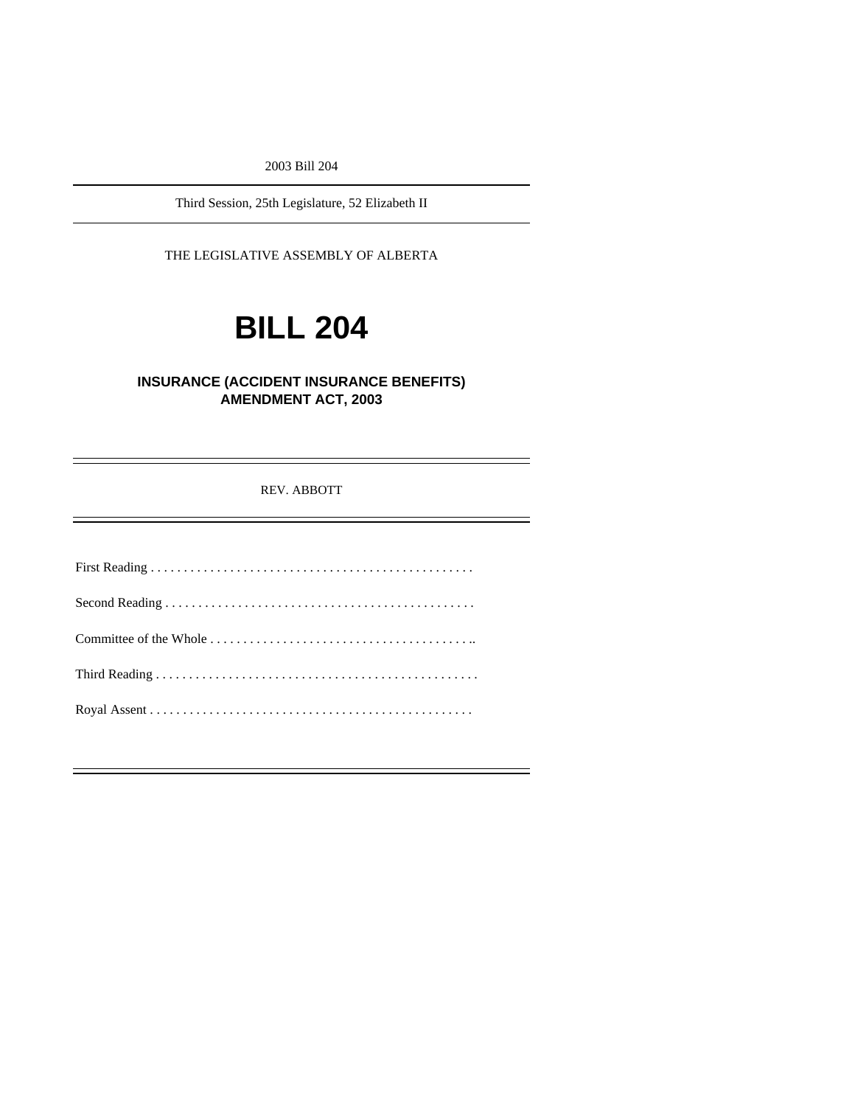2003 Bill 204

Third Session, 25th Legislature, 52 Elizabeth II

THE LEGISLATIVE ASSEMBLY OF ALBERTA

# **BILL 204**

# **INSURANCE (ACCIDENT INSURANCE BENEFITS) AMENDMENT ACT, 2003**

REV. ABBOTT

First Reading . . . . . . . . . . . . . . . . . . . . . . . . . . . . . . . . . . . . . . . . . . . . . . . . . Second Reading . . . . . . . . . . . . . . . . . . . . . . . . . . . . . . . . . . . . . . . . . . . . . . . Committee of the Whole . . . . . . . . . . . . . . . . . . . . . . . . . . . . . . . . . . . . . . . .. Third Reading . . . . . . . . . . . . . . . . . . . . . . . . . . . . . . . . . . . . . . . . . . . . . . . . . Royal Assent . . . . . . . . . . . . . . . . . . . . . . . . . . . . . . . . . . . . . . . . . . . . . . . . .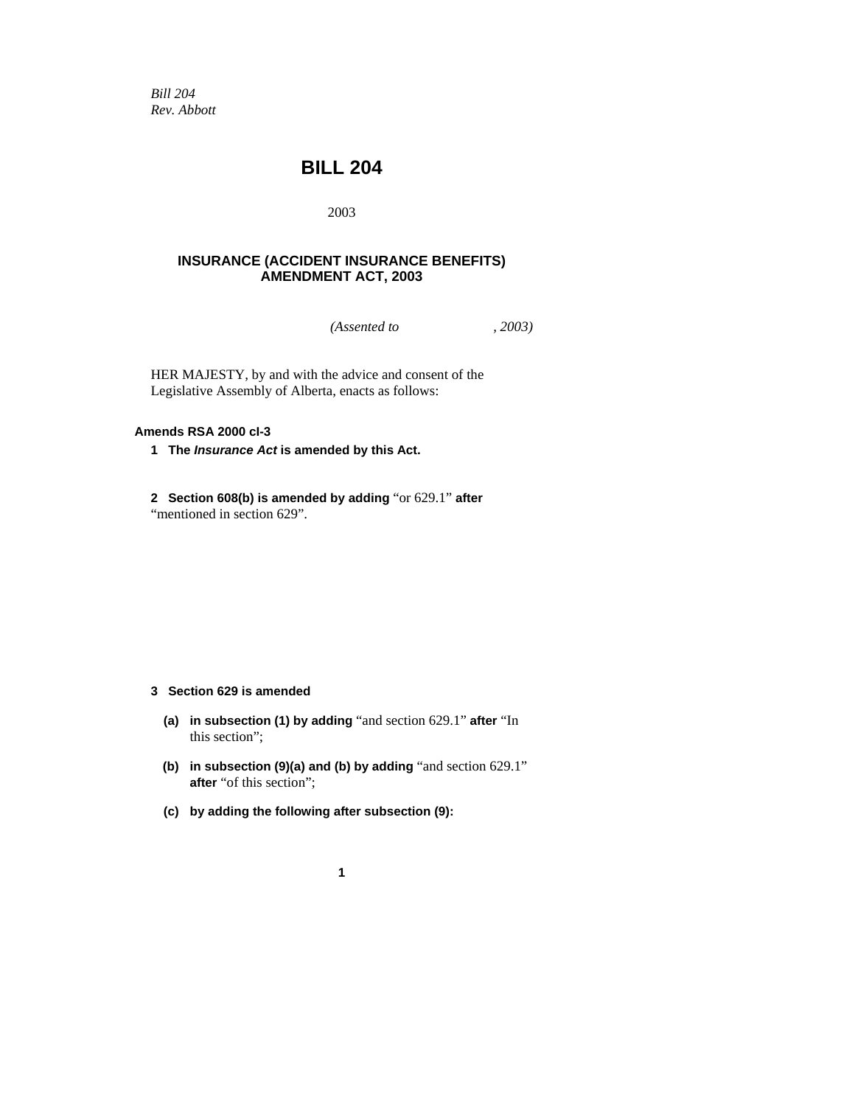*Bill 204 Rev. Abbott* 

# **BILL 204**

2003

## **INSURANCE (ACCIDENT INSURANCE BENEFITS) AMENDMENT ACT, 2003**

*(Assented to , 2003)* 

HER MAJESTY, by and with the advice and consent of the Legislative Assembly of Alberta, enacts as follows:

#### **Amends RSA 2000 cI-3**

**1 The** *Insurance Act* **is amended by this Act.** 

**2 Section 608(b) is amended by adding** "or 629.1" **after**  "mentioned in section 629".

### **3 Section 629 is amended**

- **(a) in subsection (1) by adding** "and section 629.1" **after** "In this section";
- **(b) in subsection (9)(a) and (b) by adding** "and section 629.1" **after** "of this section";
- **(c) by adding the following after subsection (9):**

**1**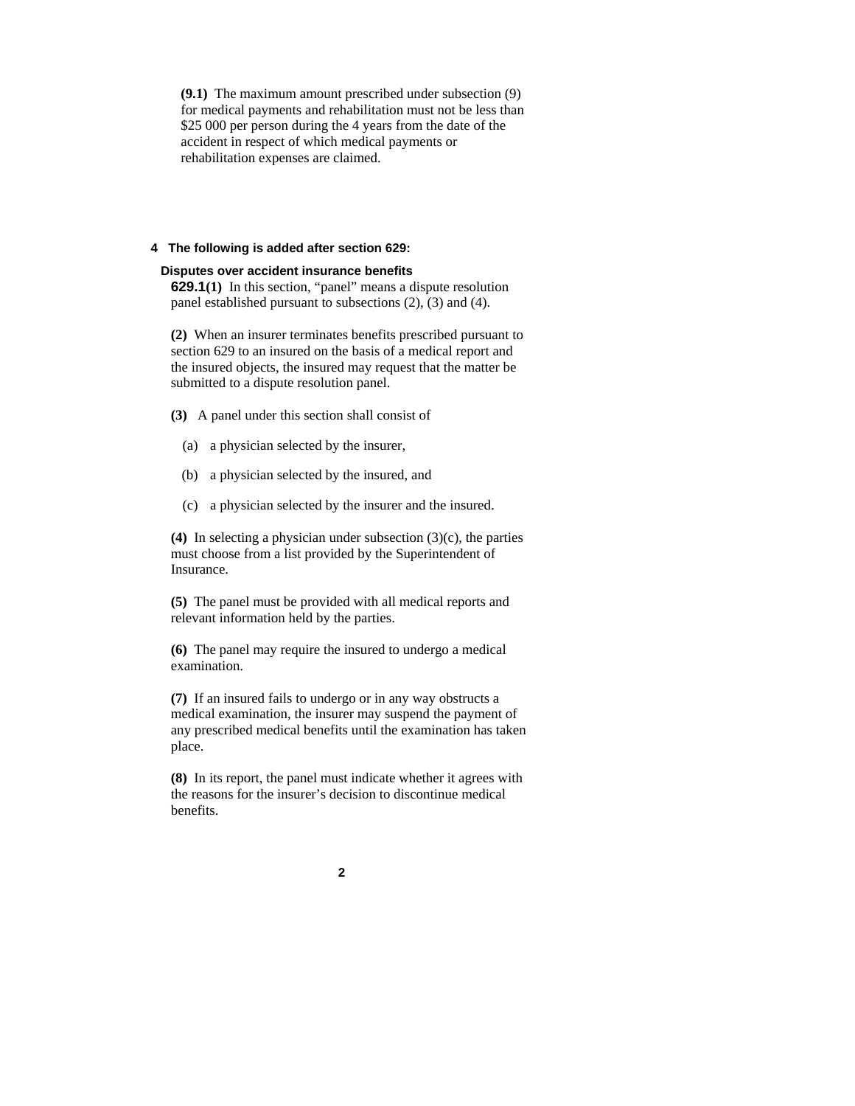**(9.1)** The maximum amount prescribed under subsection (9) for medical payments and rehabilitation must not be less than \$25,000 per person during the 4 years from the date of the accident in respect of which medical payments or rehabilitation expenses are claimed.

#### **4 The following is added after section 629:**

#### **Disputes over accident insurance benefits**

**629.1(1)** In this section, "panel" means a dispute resolution panel established pursuant to subsections (2), (3) and (4).

**(2)** When an insurer terminates benefits prescribed pursuant to section 629 to an insured on the basis of a medical report and the insured objects, the insured may request that the matter be submitted to a dispute resolution panel.

**(3)** A panel under this section shall consist of

- (a) a physician selected by the insurer,
- (b) a physician selected by the insured, and
- (c) a physician selected by the insurer and the insured.

**(4)** In selecting a physician under subsection (3)(c), the parties must choose from a list provided by the Superintendent of Insurance.

**(5)** The panel must be provided with all medical reports and relevant information held by the parties.

**(6)** The panel may require the insured to undergo a medical examination.

**(7)** If an insured fails to undergo or in any way obstructs a medical examination, the insurer may suspend the payment of any prescribed medical benefits until the examination has taken place.

**(8)** In its report, the panel must indicate whether it agrees with the reasons for the insurer's decision to discontinue medical benefits.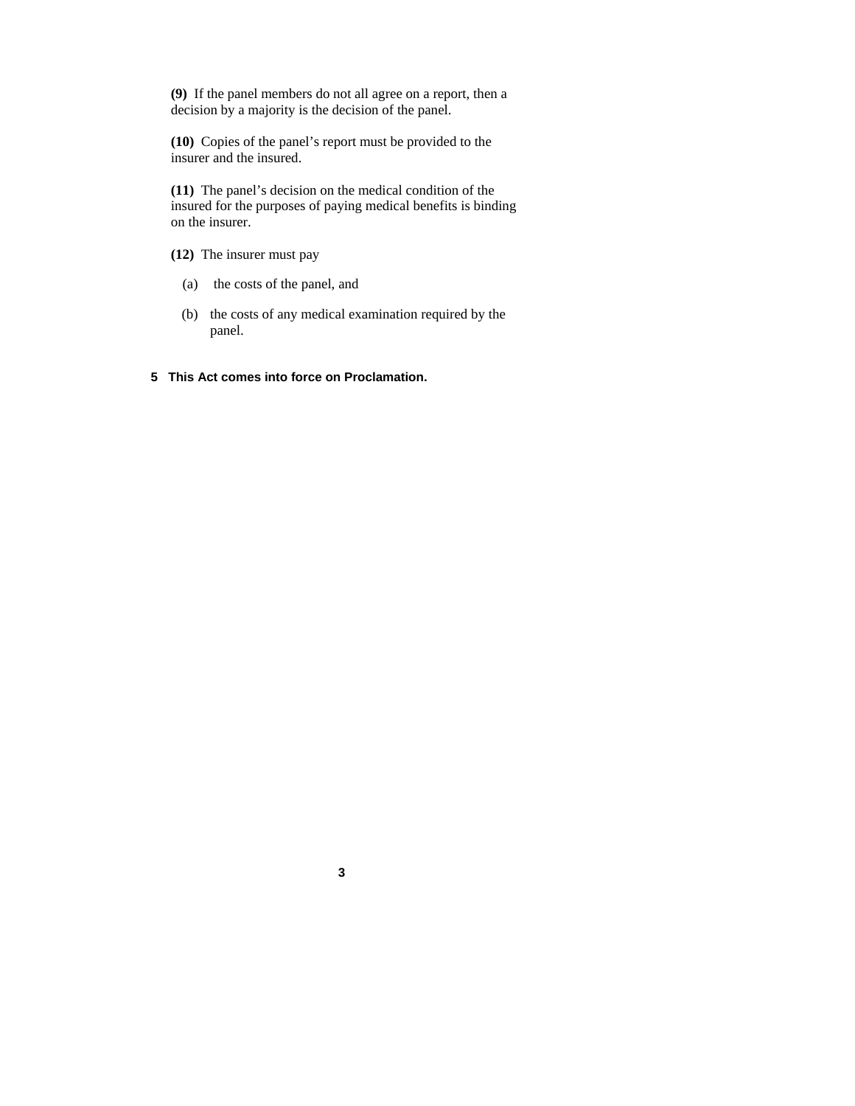**(9)** If the panel members do not all agree on a report, then a decision by a majority is the decision of the panel.

**(10)** Copies of the panel's report must be provided to the insurer and the insured.

**(11)** The panel's decision on the medical condition of the insured for the purposes of paying medical benefits is binding on the insurer.

- **(12)** The insurer must pay
	- (a) the costs of the panel, and
	- (b) the costs of any medical examination required by the panel.
- **5 This Act comes into force on Proclamation.**

**3**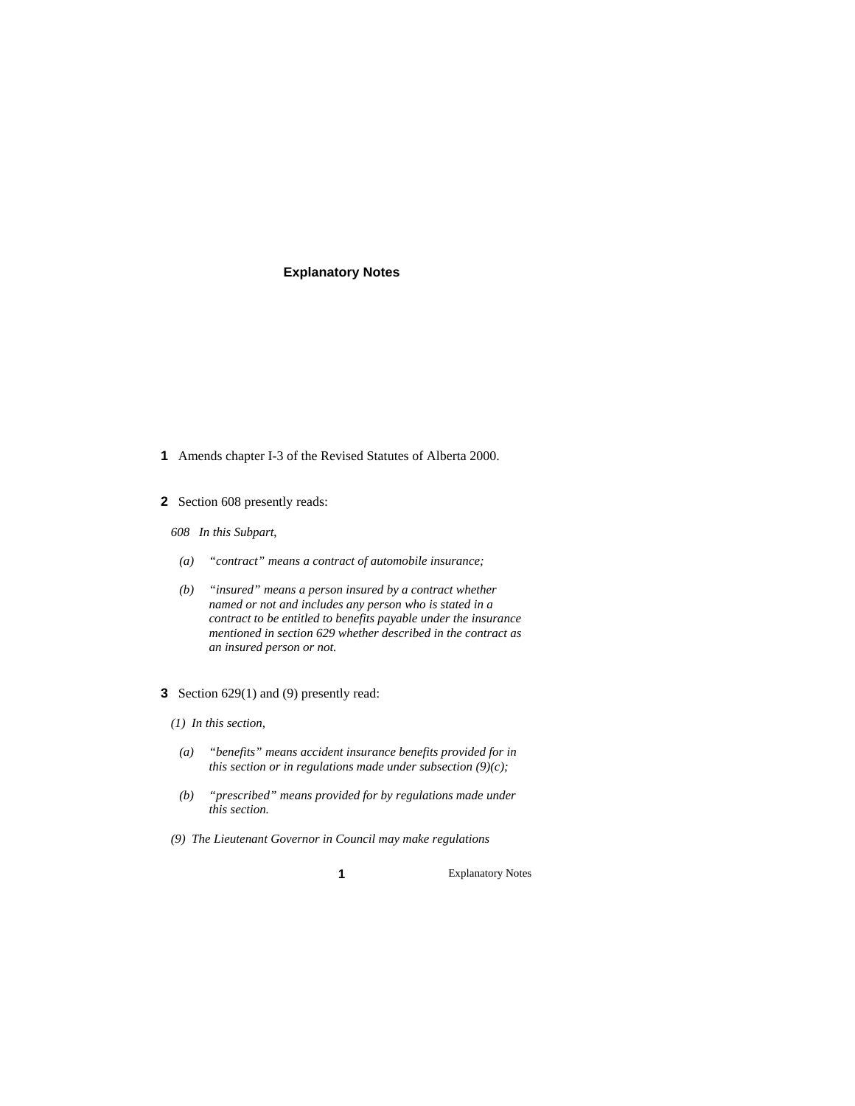#### **Explanatory Notes**

- **1** Amends chapter I-3 of the Revised Statutes of Alberta 2000.
- **2** Section 608 presently reads:
	- *608 In this Subpart*,
	- *(a) "contract" means a contract of automobile insurance;*
	- *(b) "insured" means a person insured by a contract whether named or not and includes any person who is stated in a contract to be entitled to benefits payable under the insurance mentioned in section 629 whether described in the contract as an insured person or not.*
- **3** Section 629(1) and (9) presently read:
	- *(1) In this section,*
	- *(a) "benefits" means accident insurance benefits provided for in this section or in regulations made under subsection (9)(c);*
	- *(b) "prescribed" means provided for by regulations made under this section.*
	- *(9) The Lieutenant Governor in Council may make regulations*

**1** Explanatory Notes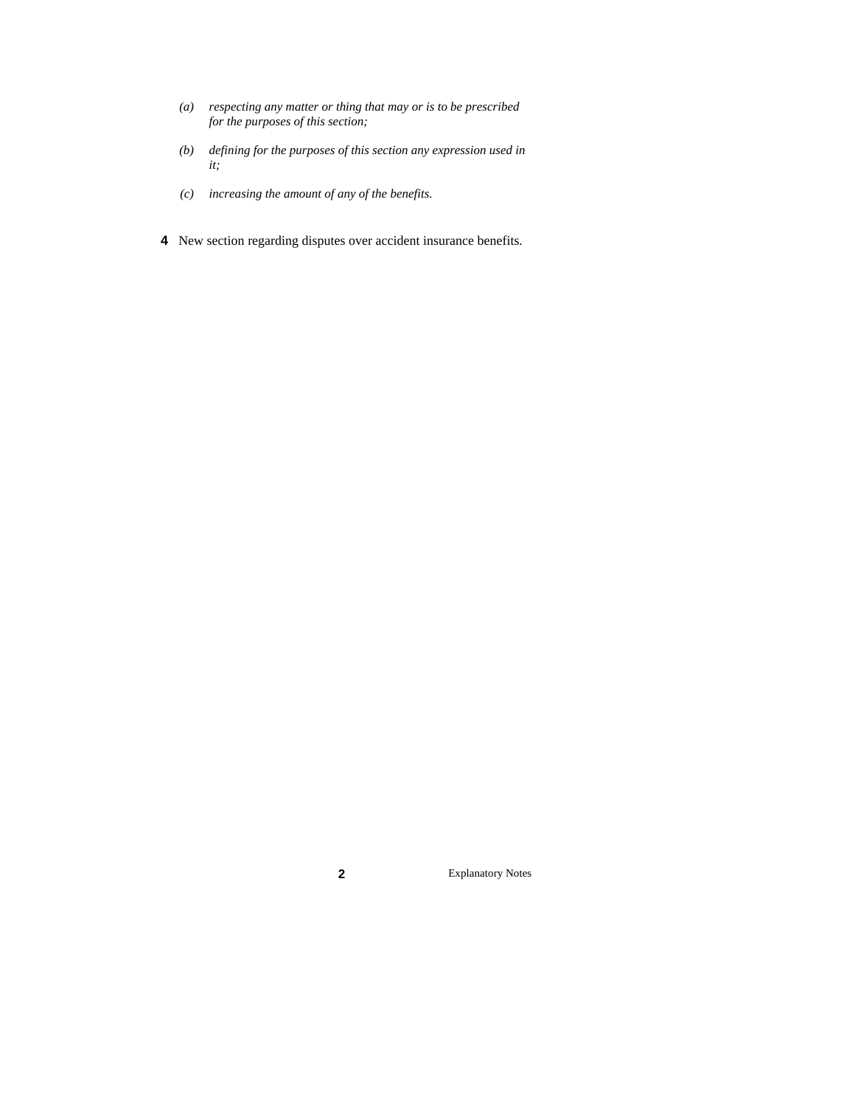- *(a) respecting any matter or thing that may or is to be prescribed for the purposes of this section;*
- *(b) defining for the purposes of this section any expression used in it;*
- *(c) increasing the amount of any of the benefits.*
- **4** New section regarding disputes over accident insurance benefits.

**2** Explanatory Notes